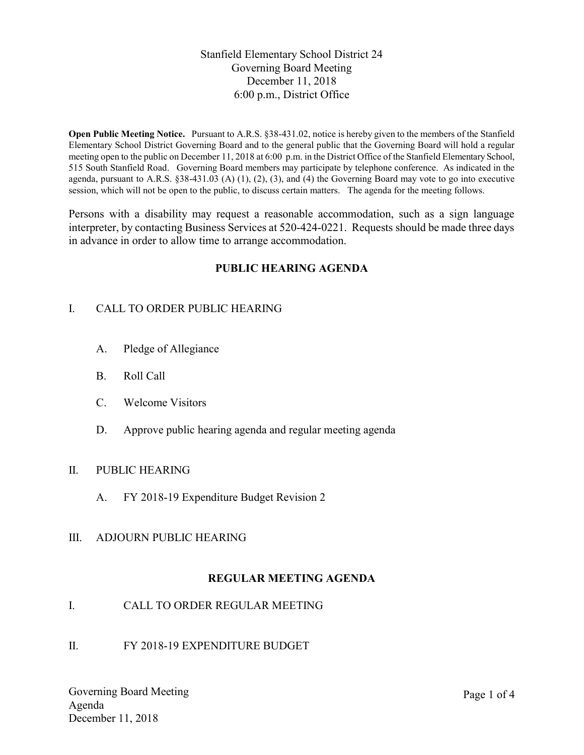Stanfield Elementary School District 24 Governing Board Meeting December 11, 2018 6:00 p.m., District Office

Open Public Meeting Notice. Pursuant to A.R.S. §38-431.02, notice is hereby given to the members of the Stanfield Elementary School District Governing Board and to the general public that the Governing Board will hold a regular meeting open to the public on December 11, 2018 at 6:00 p.m. in the District Office of the Stanfield Elementary School, 515 South Stanfield Road. Governing Board members may participate by telephone conference. As indicated in the agenda, pursuant to A.R.S.  $\S 38-431.03$  (A) (1), (2), (3), and (4) the Governing Board may vote to go into executive session, which will not be open to the public, to discuss certain matters. The agenda for the meeting follows.

Persons with a disability may request a reasonable accommodation, such as a sign language interpreter, by contacting Business Services at 520-424-0221. Requests should be made three days in advance in order to allow time to arrange accommodation.

## PUBLIC HEARING AGENDA

## I. CALL TO ORDER PUBLIC HEARING

- A. Pledge of Allegiance
- B. Roll Call
- C. Welcome Visitors
- D. Approve public hearing agenda and regular meeting agenda

#### II. PUBLIC HEARING

- A. FY 2018-19 Expenditure Budget Revision 2
- III. ADJOURN PUBLIC HEARING

## REGULAR MEETING AGENDA

- I. CALL TO ORDER REGULAR MEETING
- II. FY 2018-19 EXPENDITURE BUDGET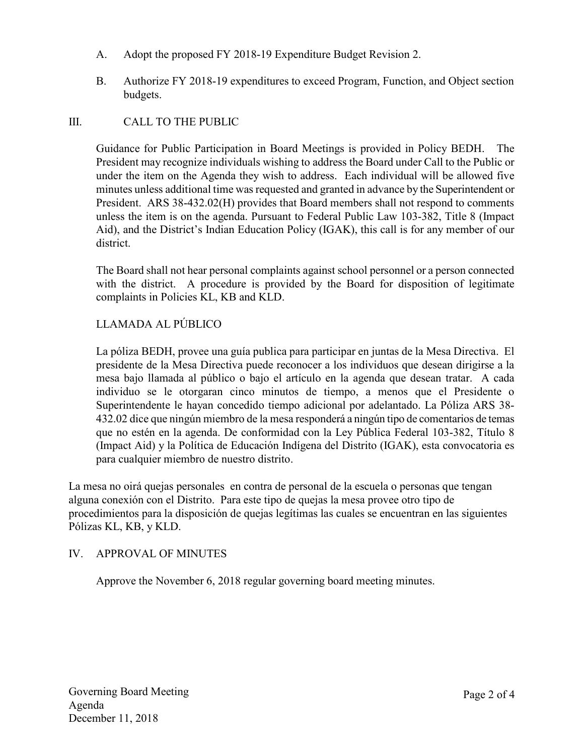- A. Adopt the proposed FY 2018-19 Expenditure Budget Revision 2.
- B. Authorize FY 2018-19 expenditures to exceed Program, Function, and Object section budgets.

## III. CALL TO THE PUBLIC

Guidance for Public Participation in Board Meetings is provided in Policy BEDH. The President may recognize individuals wishing to address the Board under Call to the Public or under the item on the Agenda they wish to address. Each individual will be allowed five minutes unless additional time was requested and granted in advance by the Superintendent or President. ARS 38-432.02(H) provides that Board members shall not respond to comments unless the item is on the agenda. Pursuant to Federal Public Law 103-382, Title 8 (Impact Aid), and the District's Indian Education Policy (IGAK), this call is for any member of our district.

The Board shall not hear personal complaints against school personnel or a person connected with the district. A procedure is provided by the Board for disposition of legitimate complaints in Policies KL, KB and KLD.

# LLAMADA AL PÚBLICO

La póliza BEDH, provee una guía publica para participar en juntas de la Mesa Directiva. El presidente de la Mesa Directiva puede reconocer a los individuos que desean dirigirse a la mesa bajo llamada al público o bajo el artículo en la agenda que desean tratar. A cada individuo se le otorgaran cinco minutos de tiempo, a menos que el Presidente o Superintendente le hayan concedido tiempo adicional por adelantado. La Póliza ARS 38- 432.02 dice que ningún miembro de la mesa responderá a ningún tipo de comentarios de temas que no estén en la agenda. De conformidad con la Ley Pública Federal 103-382, Título 8 (Impact Aid) y la Política de Educación Indígena del Distrito (IGAK), esta convocatoria es para cualquier miembro de nuestro distrito.

La mesa no oirá quejas personales en contra de personal de la escuela o personas que tengan alguna conexión con el Distrito. Para este tipo de quejas la mesa provee otro tipo de procedimientos para la disposición de quejas legítimas las cuales se encuentran en las siguientes Pólizas KL, KB, y KLD.

#### IV. APPROVAL OF MINUTES

Approve the November 6, 2018 regular governing board meeting minutes.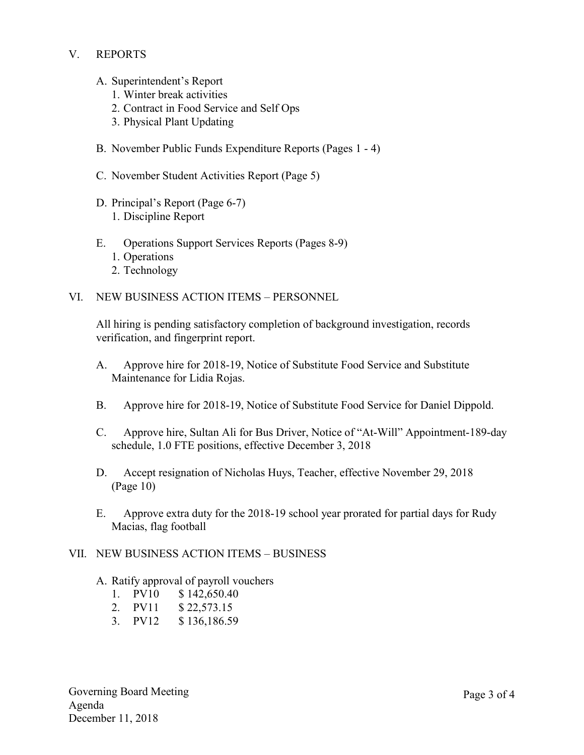### V. REPORTS

- A. Superintendent's Report
	- 1. Winter break activities
	- 2. Contract in Food Service and Self Ops
	- 3. Physical Plant Updating
- B. November Public Funds Expenditure Reports (Pages 1 4)
- C. November Student Activities Report (Page 5)
- D. Principal's Report (Page 6-7) 1. Discipline Report
- E. Operations Support Services Reports (Pages 8-9)
	- 1. Operations
	- 2. Technology
- VI. NEW BUSINESS ACTION ITEMS PERSONNEL

All hiring is pending satisfactory completion of background investigation, records verification, and fingerprint report.

- A. Approve hire for 2018-19, Notice of Substitute Food Service and Substitute Maintenance for Lidia Rojas.
- B. Approve hire for 2018-19, Notice of Substitute Food Service for Daniel Dippold.
- C. Approve hire, Sultan Ali for Bus Driver, Notice of "At-Will" Appointment-189-day schedule, 1.0 FTE positions, effective December 3, 2018
- D. Accept resignation of Nicholas Huys, Teacher, effective November 29, 2018 (Page 10)
- E. Approve extra duty for the 2018-19 school year prorated for partial days for Rudy Macias, flag football

#### VII. NEW BUSINESS ACTION ITEMS – BUSINESS

- A. Ratify approval of payroll vouchers
	- 1. PV10 \$ 142,650.40
	- 2. PV11 \$ 22,573.15
	- 3. PV12 \$ 136,186.59